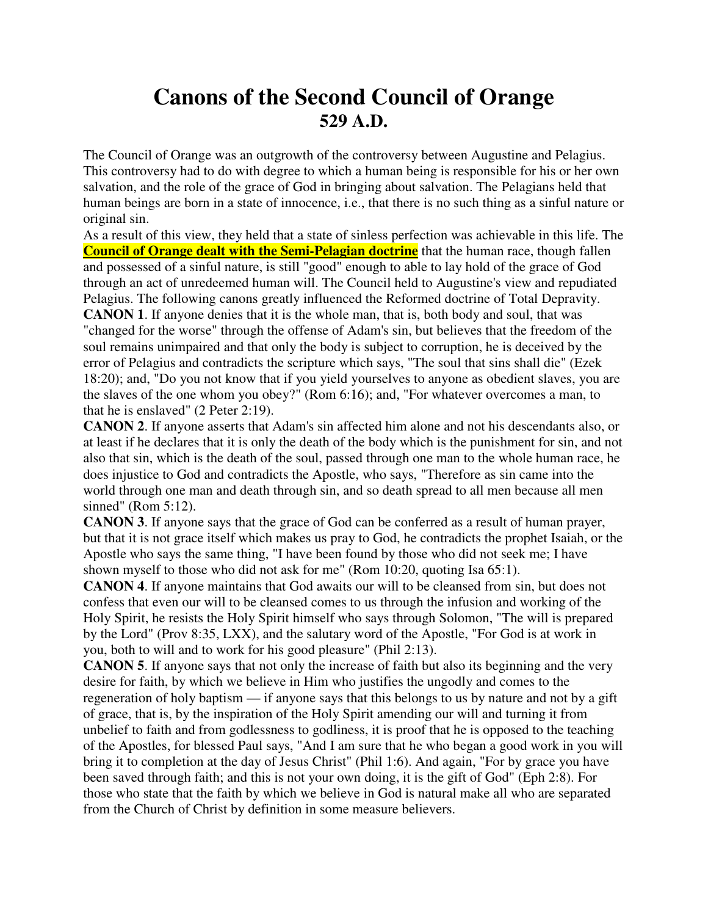## **Canons of the Second Council of Orange 529 A.D.**

The Council of Orange was an outgrowth of the controversy between Augustine and Pelagius. This controversy had to do with degree to which a human being is responsible for his or her own salvation, and the role of the grace of God in bringing about salvation. The Pelagians held that human beings are born in a state of innocence, i.e., that there is no such thing as a sinful nature or original sin.

As a result of this view, they held that a state of sinless perfection was achievable in this life. The **Council of Orange dealt with the Semi-Pelagian doctrine** that the human race, though fallen and possessed of a sinful nature, is still "good" enough to able to lay hold of the grace of God through an act of unredeemed human will. The Council held to Augustine's view and repudiated Pelagius. The following canons greatly influenced the Reformed doctrine of Total Depravity.

**CANON 1**. If anyone denies that it is the whole man, that is, both body and soul, that was "changed for the worse" through the offense of Adam's sin, but believes that the freedom of the soul remains unimpaired and that only the body is subject to corruption, he is deceived by the error of Pelagius and contradicts the scripture which says, "The soul that sins shall die" (Ezek 18:20); and, "Do you not know that if you yield yourselves to anyone as obedient slaves, you are the slaves of the one whom you obey?" (Rom 6:16); and, "For whatever overcomes a man, to that he is enslaved" (2 Peter 2:19).

**CANON 2**. If anyone asserts that Adam's sin affected him alone and not his descendants also, or at least if he declares that it is only the death of the body which is the punishment for sin, and not also that sin, which is the death of the soul, passed through one man to the whole human race, he does injustice to God and contradicts the Apostle, who says, "Therefore as sin came into the world through one man and death through sin, and so death spread to all men because all men sinned" (Rom 5:12).

**CANON 3**. If anyone says that the grace of God can be conferred as a result of human prayer, but that it is not grace itself which makes us pray to God, he contradicts the prophet Isaiah, or the Apostle who says the same thing, "I have been found by those who did not seek me; I have shown myself to those who did not ask for me" (Rom 10:20, quoting Isa 65:1).

**CANON 4**. If anyone maintains that God awaits our will to be cleansed from sin, but does not confess that even our will to be cleansed comes to us through the infusion and working of the Holy Spirit, he resists the Holy Spirit himself who says through Solomon, "The will is prepared by the Lord" (Prov 8:35, LXX), and the salutary word of the Apostle, "For God is at work in you, both to will and to work for his good pleasure" (Phil 2:13).

**CANON 5**. If anyone says that not only the increase of faith but also its beginning and the very desire for faith, by which we believe in Him who justifies the ungodly and comes to the regeneration of holy baptism — if anyone says that this belongs to us by nature and not by a gift of grace, that is, by the inspiration of the Holy Spirit amending our will and turning it from unbelief to faith and from godlessness to godliness, it is proof that he is opposed to the teaching of the Apostles, for blessed Paul says, "And I am sure that he who began a good work in you will bring it to completion at the day of Jesus Christ" (Phil 1:6). And again, "For by grace you have been saved through faith; and this is not your own doing, it is the gift of God" (Eph 2:8). For those who state that the faith by which we believe in God is natural make all who are separated from the Church of Christ by definition in some measure believers.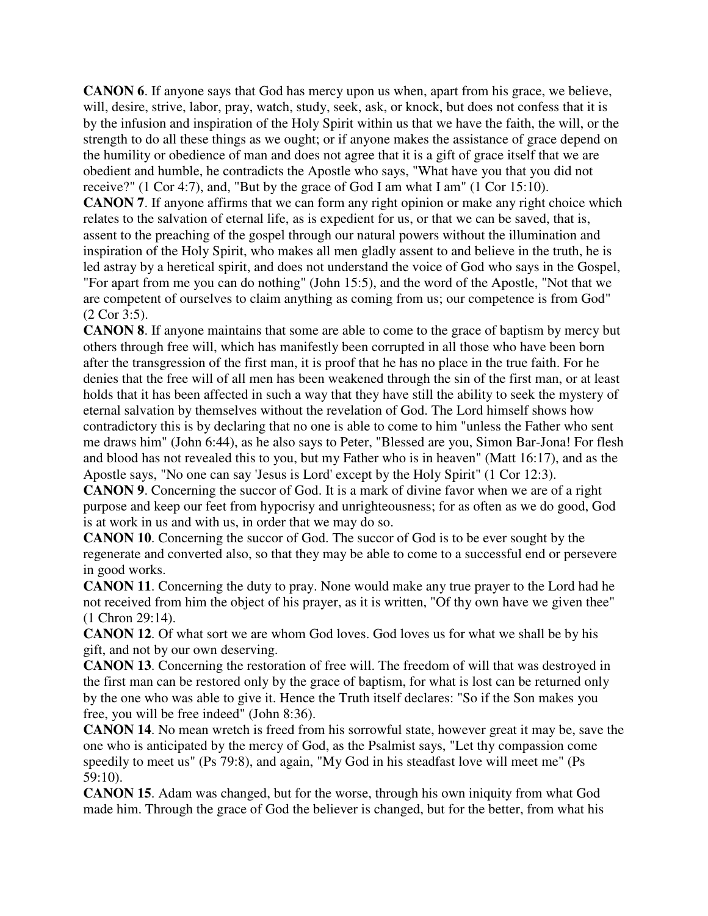**CANON 6**. If anyone says that God has mercy upon us when, apart from his grace, we believe, will, desire, strive, labor, pray, watch, study, seek, ask, or knock, but does not confess that it is by the infusion and inspiration of the Holy Spirit within us that we have the faith, the will, or the strength to do all these things as we ought; or if anyone makes the assistance of grace depend on the humility or obedience of man and does not agree that it is a gift of grace itself that we are obedient and humble, he contradicts the Apostle who says, "What have you that you did not receive?" (1 Cor 4:7), and, "But by the grace of God I am what I am" (1 Cor 15:10). **CANON 7**. If anyone affirms that we can form any right opinion or make any right choice which relates to the salvation of eternal life, as is expedient for us, or that we can be saved, that is, assent to the preaching of the gospel through our natural powers without the illumination and inspiration of the Holy Spirit, who makes all men gladly assent to and believe in the truth, he is

led astray by a heretical spirit, and does not understand the voice of God who says in the Gospel, "For apart from me you can do nothing" (John 15:5), and the word of the Apostle, "Not that we are competent of ourselves to claim anything as coming from us; our competence is from God" (2 Cor 3:5).

**CANON 8**. If anyone maintains that some are able to come to the grace of baptism by mercy but others through free will, which has manifestly been corrupted in all those who have been born after the transgression of the first man, it is proof that he has no place in the true faith. For he denies that the free will of all men has been weakened through the sin of the first man, or at least holds that it has been affected in such a way that they have still the ability to seek the mystery of eternal salvation by themselves without the revelation of God. The Lord himself shows how contradictory this is by declaring that no one is able to come to him "unless the Father who sent me draws him" (John 6:44), as he also says to Peter, "Blessed are you, Simon Bar-Jona! For flesh and blood has not revealed this to you, but my Father who is in heaven" (Matt 16:17), and as the Apostle says, "No one can say 'Jesus is Lord' except by the Holy Spirit" (1 Cor 12:3).

**CANON 9**. Concerning the succor of God. It is a mark of divine favor when we are of a right purpose and keep our feet from hypocrisy and unrighteousness; for as often as we do good, God is at work in us and with us, in order that we may do so.

**CANON 10**. Concerning the succor of God. The succor of God is to be ever sought by the regenerate and converted also, so that they may be able to come to a successful end or persevere in good works.

**CANON 11**. Concerning the duty to pray. None would make any true prayer to the Lord had he not received from him the object of his prayer, as it is written, "Of thy own have we given thee" (1 Chron 29:14).

**CANON 12**. Of what sort we are whom God loves. God loves us for what we shall be by his gift, and not by our own deserving.

**CANON 13**. Concerning the restoration of free will. The freedom of will that was destroyed in the first man can be restored only by the grace of baptism, for what is lost can be returned only by the one who was able to give it. Hence the Truth itself declares: "So if the Son makes you free, you will be free indeed" (John 8:36).

**CANON 14**. No mean wretch is freed from his sorrowful state, however great it may be, save the one who is anticipated by the mercy of God, as the Psalmist says, "Let thy compassion come speedily to meet us" (Ps 79:8), and again, "My God in his steadfast love will meet me" (Ps 59:10).

**CANON 15**. Adam was changed, but for the worse, through his own iniquity from what God made him. Through the grace of God the believer is changed, but for the better, from what his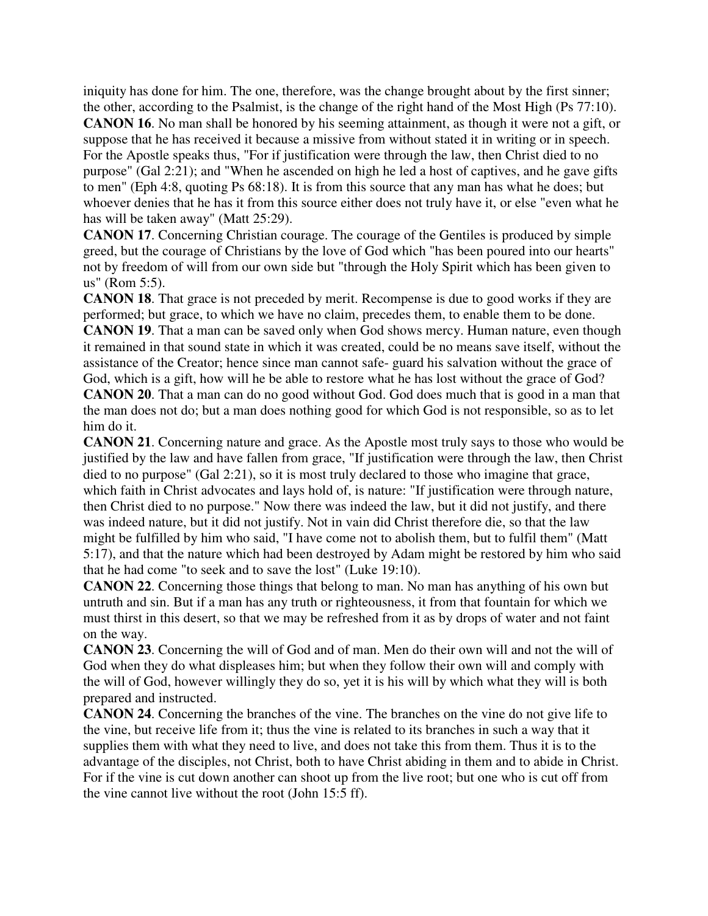iniquity has done for him. The one, therefore, was the change brought about by the first sinner; the other, according to the Psalmist, is the change of the right hand of the Most High (Ps 77:10). **CANON 16**. No man shall be honored by his seeming attainment, as though it were not a gift, or suppose that he has received it because a missive from without stated it in writing or in speech. For the Apostle speaks thus, "For if justification were through the law, then Christ died to no purpose" (Gal 2:21); and "When he ascended on high he led a host of captives, and he gave gifts to men" (Eph 4:8, quoting Ps 68:18). It is from this source that any man has what he does; but whoever denies that he has it from this source either does not truly have it, or else "even what he has will be taken away" (Matt 25:29).

**CANON 17**. Concerning Christian courage. The courage of the Gentiles is produced by simple greed, but the courage of Christians by the love of God which "has been poured into our hearts" not by freedom of will from our own side but "through the Holy Spirit which has been given to us" (Rom 5:5).

**CANON 18**. That grace is not preceded by merit. Recompense is due to good works if they are performed; but grace, to which we have no claim, precedes them, to enable them to be done. **CANON 19**. That a man can be saved only when God shows mercy. Human nature, even though it remained in that sound state in which it was created, could be no means save itself, without the assistance of the Creator; hence since man cannot safe- guard his salvation without the grace of God, which is a gift, how will he be able to restore what he has lost without the grace of God? **CANON 20**. That a man can do no good without God. God does much that is good in a man that the man does not do; but a man does nothing good for which God is not responsible, so as to let him do it.

**CANON 21**. Concerning nature and grace. As the Apostle most truly says to those who would be justified by the law and have fallen from grace, "If justification were through the law, then Christ died to no purpose" (Gal 2:21), so it is most truly declared to those who imagine that grace, which faith in Christ advocates and lays hold of, is nature: "If justification were through nature, then Christ died to no purpose." Now there was indeed the law, but it did not justify, and there was indeed nature, but it did not justify. Not in vain did Christ therefore die, so that the law might be fulfilled by him who said, "I have come not to abolish them, but to fulfil them" (Matt 5:17), and that the nature which had been destroyed by Adam might be restored by him who said that he had come "to seek and to save the lost" (Luke 19:10).

**CANON 22**. Concerning those things that belong to man. No man has anything of his own but untruth and sin. But if a man has any truth or righteousness, it from that fountain for which we must thirst in this desert, so that we may be refreshed from it as by drops of water and not faint on the way.

**CANON 23**. Concerning the will of God and of man. Men do their own will and not the will of God when they do what displeases him; but when they follow their own will and comply with the will of God, however willingly they do so, yet it is his will by which what they will is both prepared and instructed.

**CANON 24**. Concerning the branches of the vine. The branches on the vine do not give life to the vine, but receive life from it; thus the vine is related to its branches in such a way that it supplies them with what they need to live, and does not take this from them. Thus it is to the advantage of the disciples, not Christ, both to have Christ abiding in them and to abide in Christ. For if the vine is cut down another can shoot up from the live root; but one who is cut off from the vine cannot live without the root (John 15:5 ff).